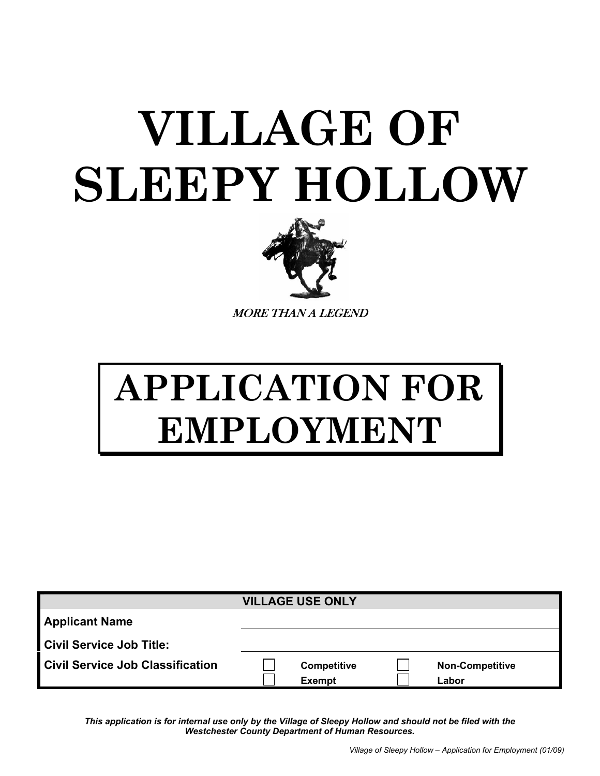## **VILLAGE OF SLEEPY HOLLOW**



MORE THAN A LEGEND

## **APPLICATION FOR EMPLOYMENT**

|                                         | <b>VILLAGE USE ONLY</b> |                        |
|-----------------------------------------|-------------------------|------------------------|
| <b>Applicant Name</b>                   |                         |                        |
| <b>Civil Service Job Title:</b>         |                         |                        |
| <b>Civil Service Job Classification</b> | <b>Competitive</b>      | <b>Non-Competitive</b> |
|                                         | <b>Exempt</b>           | Labor                  |

*This application is for internal use only by the Village of Sleepy Hollow and should not be filed with the Westchester County Department of Human Resources.*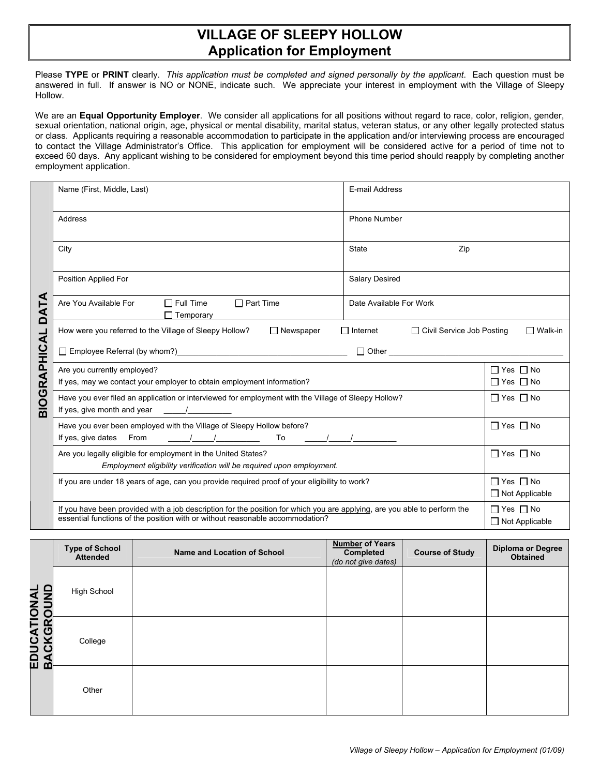## **VILLAGE OF SLEEPY HOLLOW Application for Employment**

Please **TYPE** or **PRINT** clearly. *This application must be completed and signed personally by the applicant*. Each question must be answered in full. If answer is NO or NONE, indicate such. We appreciate your interest in employment with the Village of Sleepy Hollow.

We are an **Equal Opportunity Employer**. We consider all applications for all positions without regard to race, color, religion, gender, sexual orientation, national origin, age, physical or mental disability, marital status, veteran status, or any other legally protected status or class. Applicants requiring a reasonable accommodation to participate in the application and/or interviewing process are encouraged to contact the Village Administrator's Office. This application for employment will be considered active for a period of time not to exceed 60 days. Any applicant wishing to be considered for employment beyond this time period should reapply by completing another employment application.

|                     | Name (First, Middle, Last)                                                                                                                                                                                                                                                                                                                                                                                                       | E-mail Address          |                                               |  |  |  |
|---------------------|----------------------------------------------------------------------------------------------------------------------------------------------------------------------------------------------------------------------------------------------------------------------------------------------------------------------------------------------------------------------------------------------------------------------------------|-------------------------|-----------------------------------------------|--|--|--|
|                     | Address                                                                                                                                                                                                                                                                                                                                                                                                                          | Phone Number            |                                               |  |  |  |
|                     | City                                                                                                                                                                                                                                                                                                                                                                                                                             | <b>State</b><br>Zip     |                                               |  |  |  |
|                     | Position Applied For                                                                                                                                                                                                                                                                                                                                                                                                             | <b>Salary Desired</b>   |                                               |  |  |  |
| DATA                | $\Box$ Part Time<br>$\Box$ Full Time<br>Are You Available For<br>$\Box$ Temporary                                                                                                                                                                                                                                                                                                                                                | Date Available For Work |                                               |  |  |  |
|                     | How were you referred to the Village of Sleepy Hollow?<br>$\Box$ Newspaper<br>$\Box$ Internet<br>□ Civil Service Job Posting<br>$\Box$ Walk-in                                                                                                                                                                                                                                                                                   |                         |                                               |  |  |  |
|                     | □ Employee Referral (by whom?)<br>□ Contract Deferred (by whom?)                                                                                                                                                                                                                                                                                                                                                                 |                         |                                               |  |  |  |
| <b>BIOGRAPHICAL</b> | $\Box$ Yes $\Box$ No<br>Are you currently employed?<br>If yes, may we contact your employer to obtain employment information?<br>$\Box$ Yes $\Box$ No                                                                                                                                                                                                                                                                            |                         |                                               |  |  |  |
|                     | Have you ever filed an application or interviewed for employment with the Village of Sleepy Hollow?<br>If yes, give month and year<br>$\overline{1}$                                                                                                                                                                                                                                                                             |                         | $\Box$ Yes $\Box$ No                          |  |  |  |
|                     | Have you ever been employed with the Village of Sleepy Hollow before?<br>$\frac{1}{2}$ $\frac{1}{2}$ $\frac{1}{2}$ $\frac{1}{2}$ $\frac{1}{2}$ $\frac{1}{2}$ $\frac{1}{2}$ $\frac{1}{2}$ $\frac{1}{2}$ $\frac{1}{2}$ $\frac{1}{2}$ $\frac{1}{2}$ $\frac{1}{2}$ $\frac{1}{2}$ $\frac{1}{2}$ $\frac{1}{2}$ $\frac{1}{2}$ $\frac{1}{2}$ $\frac{1}{2}$ $\frac{1}{2}$ $\frac{1}{2}$ $\frac{1}{2}$<br>If yes, give dates<br>From<br>To |                         | $\Box$ Yes $\Box$ No                          |  |  |  |
|                     | Are you legally eligible for employment in the United States?<br>Employment eligibility verification will be required upon employment.                                                                                                                                                                                                                                                                                           |                         | $\Box$ Yes $\Box$ No                          |  |  |  |
|                     | If you are under 18 years of age, can you provide required proof of your eligibility to work?                                                                                                                                                                                                                                                                                                                                    |                         | $\Box$ Yes $\Box$ No<br>$\Box$ Not Applicable |  |  |  |
|                     | If you have been provided with a job description for the position for which you are applying, are you able to perform the<br>essential functions of the position with or without reasonable accommodation?                                                                                                                                                                                                                       |                         | $\Box$ Yes $\Box$ No<br>□ Not Applicable      |  |  |  |

|                                   | <b>Type of School</b><br><b>Attended</b> | Name and Location of School | <b>Number of Years</b><br>Completed<br>(do not give dates) | <b>Course of Study</b> | <b>Diploma or Degree</b><br><b>Obtained</b> |
|-----------------------------------|------------------------------------------|-----------------------------|------------------------------------------------------------|------------------------|---------------------------------------------|
|                                   | <b>High School</b>                       |                             |                                                            |                        |                                             |
| <b>EDUCATIONAL<br/>BACKGROUND</b> | College                                  |                             |                                                            |                        |                                             |
|                                   | Other                                    |                             |                                                            |                        |                                             |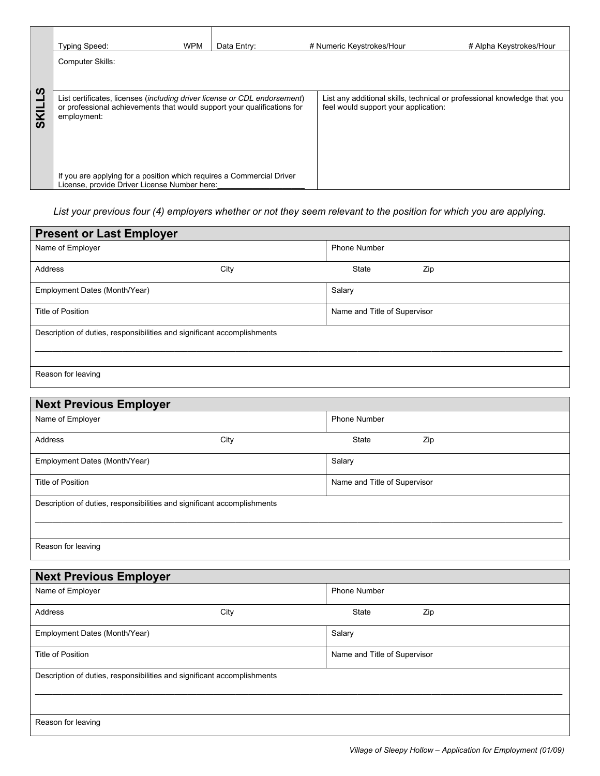|        | <b>Typing Speed:</b>                                                                                                  | <b>WPM</b> | Data Entry: |  | # Numeric Keystrokes/Hour            | # Alpha Keystrokes/Hour                                                  |
|--------|-----------------------------------------------------------------------------------------------------------------------|------------|-------------|--|--------------------------------------|--------------------------------------------------------------------------|
|        | <b>Computer Skills:</b>                                                                                               |            |             |  |                                      |                                                                          |
| S      | List certificates, licenses (including driver license or CDL endorsement)                                             |            |             |  |                                      | List any additional skills, technical or professional knowledge that you |
| 忌<br>ທ | or professional achievements that would support your qualifications for<br>employment:                                |            |             |  | feel would support your application: |                                                                          |
|        |                                                                                                                       |            |             |  |                                      |                                                                          |
|        |                                                                                                                       |            |             |  |                                      |                                                                          |
|        | If you are applying for a position which requires a Commercial Driver<br>License, provide Driver License Number here: |            |             |  |                                      |                                                                          |

*List your previous four (4) employers whether or not they seem relevant to the position for which you are applying.* 

| <b>Present or Last Employer</b>                                         |      |                              |     |
|-------------------------------------------------------------------------|------|------------------------------|-----|
| Name of Employer                                                        |      | <b>Phone Number</b>          |     |
| Address                                                                 | City | State                        | Zip |
| Employment Dates (Month/Year)                                           |      | Salary                       |     |
| Title of Position                                                       |      | Name and Title of Supervisor |     |
| Description of duties, responsibilities and significant accomplishments |      |                              |     |
| Reason for leaving                                                      |      |                              |     |

| <b>Next Previous Employer</b> |                                                                         |                              |  |  |  |
|-------------------------------|-------------------------------------------------------------------------|------------------------------|--|--|--|
| Name of Employer              |                                                                         | Phone Number                 |  |  |  |
| Address                       | City                                                                    | <b>State</b><br>Zip          |  |  |  |
| Employment Dates (Month/Year) |                                                                         | Salary                       |  |  |  |
| Title of Position             |                                                                         | Name and Title of Supervisor |  |  |  |
|                               | Description of duties, responsibilities and significant accomplishments |                              |  |  |  |
| Reason for leaving            |                                                                         |                              |  |  |  |

| <b>Next Previous Employer</b>                                           |      |                              |     |  |
|-------------------------------------------------------------------------|------|------------------------------|-----|--|
| Name of Employer                                                        |      | <b>Phone Number</b>          |     |  |
| Address                                                                 | City | State                        | Zip |  |
| Employment Dates (Month/Year)                                           |      | Salary                       |     |  |
| Title of Position                                                       |      | Name and Title of Supervisor |     |  |
| Description of duties, responsibilities and significant accomplishments |      |                              |     |  |
| Reason for leaving                                                      |      |                              |     |  |